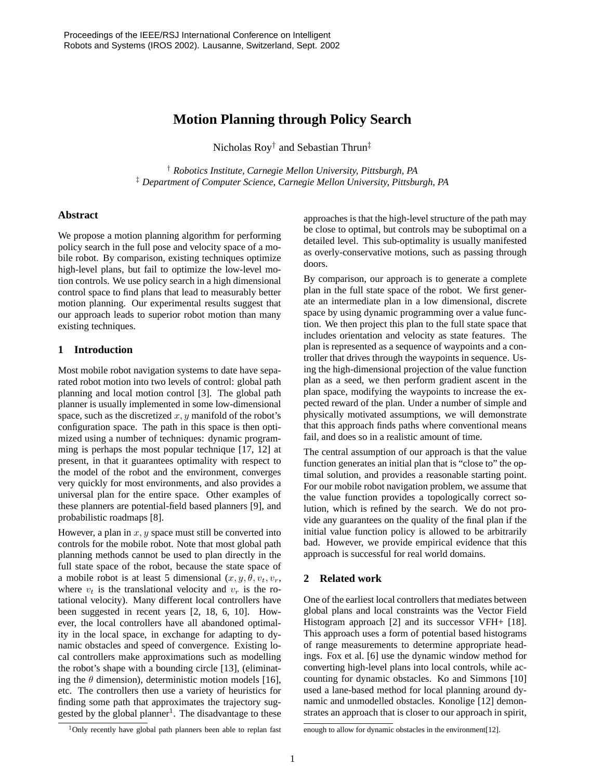# **Motion Planning through Policy Search**

Nicholas Roy † and Sebastian Thrun‡

† *Robotics Institute, Carnegie Mellon University, Pittsburgh, PA* ‡ *Department of Computer Science, Carnegie Mellon University, Pittsburgh, PA*

## **Abstract**

We propose a motion planning algorithm for performing policy search in the full pose and velocity space of a mobile robot. By comparison, existing techniques optimize high-level plans, but fail to optimize the low-level motion controls. We use policy search in a high dimensional control space to find plans that lead to measurably better motion planning. Our experimental results suggest that our approach leads to superior robot motion than many existing techniques.

# **1 Introduction**

Most mobile robot navigation systems to date have separated robot motion into two levels of control: global path planning and local motion control [3]. The global path planner is usually implemented in some low-dimensional space, such as the discretized  $x, y$  manifold of the robot's configuration space. The path in this space is then optimized using a number of techniques: dynamic programming is perhaps the most popular technique [17, 12] at present, in that it guarantees optimality with respect to the model of the robot and the environment, converges very quickly for most environments, and also provides a universal plan for the entire space. Other examples of these planners are potential-field based planners [9], and probabilistic roadmaps [8].

However, a plan in  $x, y$  space must still be converted into controls for the mobile robot. Note that most global path planning methods cannot be used to plan directly in the full state space of the robot, because the state space of a mobile robot is at least 5 dimensional (x, y, θ, vt, vr, where  $v_t$  is the translational velocity and  $v_r$  is the rotational velocity). Many different local controllers have been suggested in recent years [2, 18, 6, 10]. However, the local controllers have all abandoned optimality in the local space, in exchange for adapting to dynamic obstacles and speed of convergence. Existing local controllers make approximations such as modelling the robot's shape with a bounding circle [13], (eliminating the  $\theta$  dimension), deterministic motion models [16], etc. The controllers then use a variety of heuristics for finding some path that approximates the trajectory suggested by the global planner<sup>1</sup>. The disadvantage to these

approaches is that the high-level structure of the path may be close to optimal, but controls may be suboptimal on a detailed level. This sub-optimality is usually manifested as overly-conservative motions, such as passing through doors.

By comparison, our approach is to generate a complete plan in the full state space of the robot. We first generate an intermediate plan in a low dimensional, discrete space by using dynamic programming over a value function. We then project this plan to the full state space that includes orientation and velocity as state features. The plan is represented as a sequence of waypoints and a controller that drives through the waypoints in sequence. Using the high-dimensional projection of the value function plan as a seed, we then perform gradient ascent in the plan space, modifying the waypoints to increase the expected reward of the plan. Under a number of simple and physically motivated assumptions, we will demonstrate that this approach finds paths where conventional means fail, and does so in a realistic amount of time.

The central assumption of our approach is that the value function generates an initial plan that is "close to" the optimal solution, and provides a reasonable starting point. For our mobile robot navigation problem, we assume that the value function provides a topologically correct solution, which is refined by the search. We do not provide any guarantees on the quality of the final plan if the initial value function policy is allowed to be arbitrarily bad. However, we provide empirical evidence that this approach is successful for real world domains.

# **2 Related work**

One of the earliest local controllers that mediates between global plans and local constraints was the Vector Field Histogram approach [2] and its successor VFH+ [18]. This approach uses a form of potential based histograms of range measurements to determine appropriate headings. Fox et al. [6] use the dynamic window method for converting high-level plans into local controls, while accounting for dynamic obstacles. Ko and Simmons [10] used a lane-based method for local planning around dynamic and unmodelled obstacles. Konolige [12] demonstrates an approach that is closer to our approach in spirit,

<sup>&</sup>lt;sup>1</sup>Only recently have global path planners been able to replan fast

enough to allow for dynamic obstacles in the environment[12].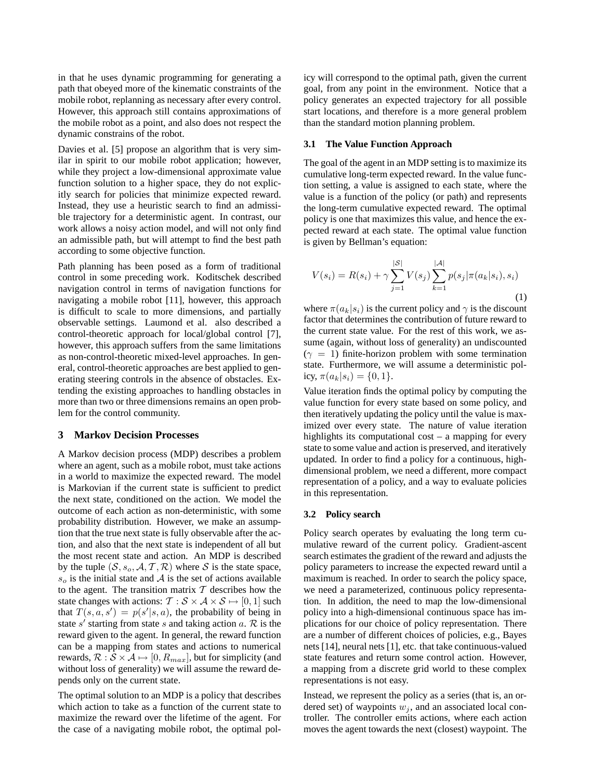in that he uses dynamic programming for generating a path that obeyed more of the kinematic constraints of the mobile robot, replanning as necessary after every control. However, this approach still contains approximations of the mobile robot as a point, and also does not respect the dynamic constrains of the robot.

Davies et al. [5] propose an algorithm that is very similar in spirit to our mobile robot application; however, while they project a low-dimensional approximate value function solution to a higher space, they do not explicitly search for policies that minimize expected reward. Instead, they use a heuristic search to find an admissible trajectory for a deterministic agent. In contrast, our work allows a noisy action model, and will not only find an admissible path, but will attempt to find the best path according to some objective function.

Path planning has been posed as a form of traditional control in some preceding work. Koditschek described navigation control in terms of navigation functions for navigating a mobile robot [11], however, this approach is difficult to scale to more dimensions, and partially observable settings. Laumond et al. also described a control-theoretic approach for local/global control [7], however, this approach suffers from the same limitations as non-control-theoretic mixed-level approaches. In general, control-theoretic approaches are best applied to generating steering controls in the absence of obstacles. Extending the existing approaches to handling obstacles in more than two or three dimensions remains an open problem for the control community.

### **3 Markov Decision Processes**

A Markov decision process (MDP) describes a problem where an agent, such as a mobile robot, must take actions in a world to maximize the expected reward. The model is Markovian if the current state is sufficient to predict the next state, conditioned on the action. We model the outcome of each action as non-deterministic, with some probability distribution. However, we make an assumption that the true next state is fully observable after the action, and also that the next state is independent of all but the most recent state and action. An MDP is described by the tuple  $(S, s_o, A, T, R)$  where S is the state space,  $s_o$  is the initial state and A is the set of actions available to the agent. The transition matrix  $T$  describes how the state changes with actions:  $\mathcal{T}: \mathcal{S} \times \mathcal{A} \times \mathcal{S} \mapsto [0, 1]$  such that  $T(s, a, s') = p(s'|s, a)$ , the probability of being in state s' starting from state s and taking action a.  $\mathcal{R}$  is the reward given to the agent. In general, the reward function can be a mapping from states and actions to numerical rewards,  $\mathcal{R}: \mathcal{S} \times \mathcal{A} \mapsto [0, R_{max}]$ , but for simplicity (and without loss of generality) we will assume the reward depends only on the current state.

The optimal solution to an MDP is a policy that describes which action to take as a function of the current state to maximize the reward over the lifetime of the agent. For the case of a navigating mobile robot, the optimal policy will correspond to the optimal path, given the current goal, from any point in the environment. Notice that a policy generates an expected trajectory for all possible start locations, and therefore is a more general problem than the standard motion planning problem.

### **3.1 The Value Function Approach**

The goal of the agent in an MDP setting is to maximize its cumulative long-term expected reward. In the value function setting, a value is assigned to each state, where the value is a function of the policy (or path) and represents the long-term cumulative expected reward. The optimal policy is one that maximizes this value, and hence the expected reward at each state. The optimal value function is given by Bellman's equation:

$$
V(s_i) = R(s_i) + \gamma \sum_{j=1}^{|\mathcal{S}|} V(s_j) \sum_{k=1}^{|\mathcal{A}|} p(s_j | \pi(a_k | s_i), s_i)
$$
\n(1)

where  $\pi(a_k|s_i)$  is the current policy and  $\gamma$  is the discount factor that determines the contribution of future reward to the current state value. For the rest of this work, we assume (again, without loss of generality) an undiscounted  $(\gamma = 1)$  finite-horizon problem with some termination state. Furthermore, we will assume a deterministic policy,  $\pi(a_k|s_i) = \{0,1\}.$ 

Value iteration finds the optimal policy by computing the value function for every state based on some policy, and then iteratively updating the policy until the value is maximized over every state. The nature of value iteration highlights its computational cost – a mapping for every state to some value and action is preserved, and iteratively updated. In order to find a policy for a continuous, highdimensional problem, we need a different, more compact representation of a policy, and a way to evaluate policies in this representation.

### **3.2 Policy search**

Policy search operates by evaluating the long term cumulative reward of the current policy. Gradient-ascent search estimates the gradient of the reward and adjusts the policy parameters to increase the expected reward until a maximum is reached. In order to search the policy space, we need a parameterized, continuous policy representation. In addition, the need to map the low-dimensional policy into a high-dimensional continuous space has implications for our choice of policy representation. There are a number of different choices of policies, e.g., Bayes nets [14], neural nets [1], etc. that take continuous-valued state features and return some control action. However, a mapping from a discrete grid world to these complex representations is not easy.

Instead, we represent the policy as a series (that is, an ordered set) of waypoints  $w_i$ , and an associated local controller. The controller emits actions, where each action moves the agent towards the next (closest) waypoint. The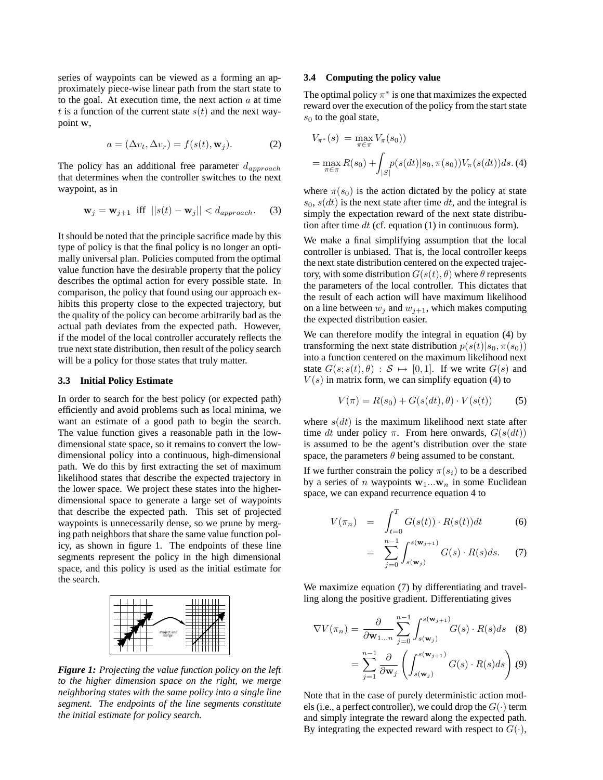series of waypoints can be viewed as a forming an approximately piece-wise linear path from the start state to to the goal. At execution time, the next action  $a$  at time t is a function of the current state  $s(t)$  and the next waypoint w,

$$
a = (\Delta v_t, \Delta v_r) = f(s(t), \mathbf{w}_j). \tag{2}
$$

The policy has an additional free parameter  $d_{approx}$ that determines when the controller switches to the next waypoint, as in

$$
\mathbf{w}_j = \mathbf{w}_{j+1} \text{ iff } ||s(t) - \mathbf{w}_j|| < d_{approxch}. \quad (3)
$$

It should be noted that the principle sacrifice made by this type of policy is that the final policy is no longer an optimally universal plan. Policies computed from the optimal value function have the desirable property that the policy describes the optimal action for every possible state. In comparison, the policy that found using our approach exhibits this property close to the expected trajectory, but the quality of the policy can become arbitrarily bad as the actual path deviates from the expected path. However, if the model of the local controller accurately reflects the true next state distribution, then result of the policy search will be a policy for those states that truly matter.

### **3.3 Initial Policy Estimate**

In order to search for the best policy (or expected path) efficiently and avoid problems such as local minima, we want an estimate of a good path to begin the search. The value function gives a reasonable path in the lowdimensional state space, so it remains to convert the lowdimensional policy into a continuous, high-dimensional path. We do this by first extracting the set of maximum likelihood states that describe the expected trajectory in the lower space. We project these states into the higherdimensional space to generate a large set of waypoints that describe the expected path. This set of projected waypoints is unnecessarily dense, so we prune by merging path neighbors that share the same value function policy, as shown in figure 1. The endpoints of these line segments represent the policy in the high dimensional space, and this policy is used as the initial estimate for the search.



*Figure 1: Projecting the value function policy on the left to the higher dimension space on the right, we merge neighboring states with the same policy into a single line segment. The endpoints of the line segments constitute the initial estimate for policy search.*

#### **3.4 Computing the policy value**

The optimal policy  $\pi^*$  is one that maximizes the expected reward over the execution of the policy from the start state  $s_0$  to the goal state,

$$
V_{\pi^*}(s) = \max_{\pi \in \pi} V_{\pi}(s_0)
$$
  
= 
$$
\max_{\pi \in \pi} R(s_0) + \int_{|S|} p(s(dt)|s_0, \pi(s_0)) V_{\pi}(s(dt)) ds. (4)
$$

where  $\pi(s_0)$  is the action dictated by the policy at state  $s_0$ ,  $s(dt)$  is the next state after time dt, and the integral is simply the expectation reward of the next state distribution after time dt (cf. equation  $(1)$  in continuous form).

We make a final simplifying assumption that the local controller is unbiased. That is, the local controller keeps the next state distribution centered on the expected trajectory, with some distribution  $G(s(t), \theta)$  where  $\theta$  represents the parameters of the local controller. This dictates that the result of each action will have maximum likelihood on a line between  $w_j$  and  $w_{j+1}$ , which makes computing the expected distribution easier.

We can therefore modify the integral in equation (4) by transforming the next state distribution  $p(s(t)|s_0, \pi(s_0))$ into a function centered on the maximum likelihood next state  $G(s; s(t), \theta) : S \mapsto [0, 1]$ . If we write  $G(s)$  and  $V(s)$  in matrix form, we can simplify equation (4) to

$$
V(\pi) = R(s_0) + G(s(dt), \theta) \cdot V(s(t)) \tag{5}
$$

where  $s(dt)$  is the maximum likelihood next state after time dt under policy π. From here onwards,  $G(s(dt))$ is assumed to be the agent's distribution over the state space, the parameters  $\theta$  being assumed to be constant.

If we further constrain the policy  $\pi(s_i)$  to be a described by a series of n waypoints  $w_1...w_n$  in some Euclidean space, we can expand recurrence equation 4 to

$$
V(\pi_n) = \int_{t=0}^{T} G(s(t)) \cdot R(s(t)) dt
$$
 (6)

$$
= \sum_{j=0}^{n-1} \int_{s(\mathbf{w}_j)}^{s(\mathbf{w}_{j+1})} G(s) \cdot R(s) ds. \quad (7)
$$

We maximize equation (7) by differentiating and travelling along the positive gradient. Differentiating gives

$$
\nabla V(\pi_n) = \frac{\partial}{\partial \mathbf{w}_{1...n}} \sum_{j=0}^{n-1} \int_{s(\mathbf{w}_j)}^{s(\mathbf{w}_{j+1})} G(s) \cdot R(s) ds \quad (8)
$$

$$
= \sum_{j=1}^{n-1} \frac{\partial}{\partial \mathbf{w}_j} \left( \int_{s(\mathbf{w}_j)}^{s(\mathbf{w}_{j+1})} G(s) \cdot R(s) ds \right) (9)
$$

Note that in the case of purely deterministic action models (i.e., a perfect controller), we could drop the  $G(\cdot)$  term and simply integrate the reward along the expected path. By integrating the expected reward with respect to  $G(\cdot)$ ,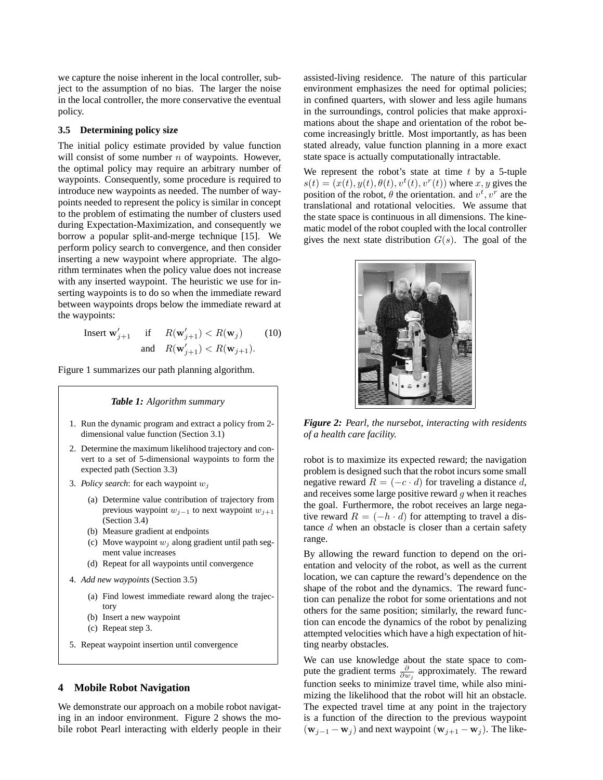we capture the noise inherent in the local controller, subject to the assumption of no bias. The larger the noise in the local controller, the more conservative the eventual policy.

# **3.5 Determining policy size**

The initial policy estimate provided by value function will consist of some number  $n$  of waypoints. However, the optimal policy may require an arbitrary number of waypoints. Consequently, some procedure is required to introduce new waypoints as needed. The number of waypoints needed to represent the policy is similar in concept to the problem of estimating the number of clusters used during Expectation-Maximization, and consequently we borrow a popular split-and-merge technique [15]. We perform policy search to convergence, and then consider inserting a new waypoint where appropriate. The algorithm terminates when the policy value does not increase with any inserted waypoint. The heuristic we use for inserting waypoints is to do so when the immediate reward between waypoints drops below the immediate reward at the waypoints:

> Insert  $\mathbf{w}'_{j+1}$  if  $R(\mathbf{w}'_{j+1}) < R(\mathbf{w}_j)$  (10) and  $R(\mathbf{w}'_{j+1}) < R(\mathbf{w}_{j+1}).$

Figure 1 summarizes our path planning algorithm.

# *Table 1: Algorithm summary*

- 1. Run the dynamic program and extract a policy from 2 dimensional value function (Section 3.1)
- 2. Determine the maximum likelihood trajectory and convert to a set of 5-dimensional waypoints to form the expected path (Section 3.3)
- 3. *Policy search*: for each waypoint w<sup>j</sup>
	- (a) Determine value contribution of trajectory from previous waypoint  $w_{j-1}$  to next waypoint  $w_{j+1}$ (Section 3.4)
	- (b) Measure gradient at endpoints
	- (c) Move waypoint  $w_j$  along gradient until path segment value increases
	- (d) Repeat for all waypoints until convergence
- 4. *Add new waypoints* (Section 3.5)
	- (a) Find lowest immediate reward along the trajectory
	- (b) Insert a new waypoint
	- (c) Repeat step 3.
- 5. Repeat waypoint insertion until convergence

# **4 Mobile Robot Navigation**

We demonstrate our approach on a mobile robot navigating in an indoor environment. Figure 2 shows the mobile robot Pearl interacting with elderly people in their assisted-living residence. The nature of this particular environment emphasizes the need for optimal policies; in confined quarters, with slower and less agile humans in the surroundings, control policies that make approximations about the shape and orientation of the robot become increasingly brittle. Most importantly, as has been stated already, value function planning in a more exact state space is actually computationally intractable.

We represent the robot's state at time  $t$  by a 5-tuple  $s(t) = (x(t), y(t), \theta(t), v^t(t), v^r(t))$  where x, y gives the position of the robot,  $\theta$  the orientation. and  $v^t$ ,  $v^r$  are the translational and rotational velocities. We assume that the state space is continuous in all dimensions. The kinematic model of the robot coupled with the local controller gives the next state distribution  $G(s)$ . The goal of the



*Figure 2: Pearl, the nursebot, interacting with residents of a health care facility.*

robot is to maximize its expected reward; the navigation problem is designed such that the robot incurs some small negative reward  $R = (-c \cdot d)$  for traveling a distance d, and receives some large positive reward  $q$  when it reaches the goal. Furthermore, the robot receives an large negative reward  $R = (-h \cdot d)$  for attempting to travel a distance d when an obstacle is closer than a certain safety range.

By allowing the reward function to depend on the orientation and velocity of the robot, as well as the current location, we can capture the reward's dependence on the shape of the robot and the dynamics. The reward function can penalize the robot for some orientations and not others for the same position; similarly, the reward function can encode the dynamics of the robot by penalizing attempted velocities which have a high expectation of hitting nearby obstacles.

We can use knowledge about the state space to compute the gradient terms  $\frac{\partial}{\partial w_j}$  approximately. The reward function seeks to minimize travel time, while also minimizing the likelihood that the robot will hit an obstacle. The expected travel time at any point in the trajectory is a function of the direction to the previous waypoint  $(\mathbf{w}_{j-1} - \mathbf{w}_j)$  and next waypoint  $(\mathbf{w}_{j+1} - \mathbf{w}_j)$ . The like-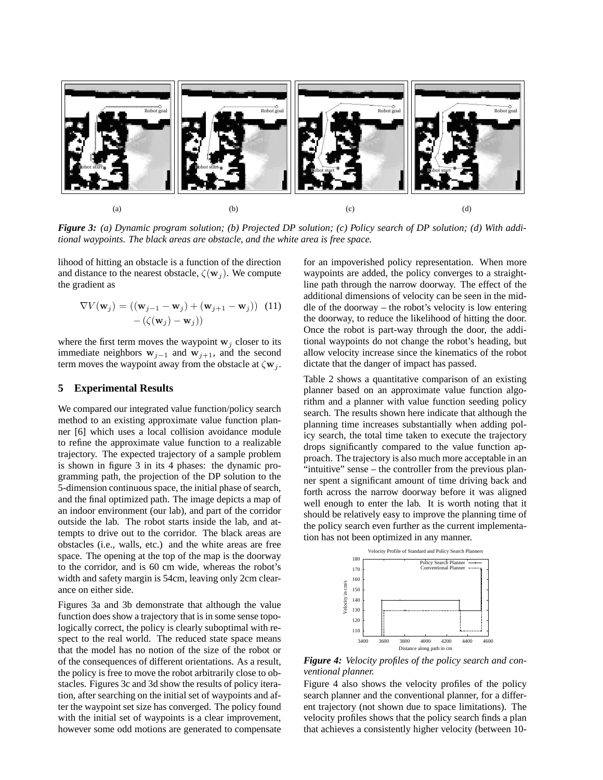

Figure 3: (a) Dynamic program solution; (b) Projected DP solution; (c) Policy search of DP solution; (d) With addi*tional waypoints. The black areas are obstacle, and the white area is free space.*

lihood of hitting an obstacle is a function of the direction and distance to the nearest obstacle,  $\zeta(\mathbf{w}_i)$ . We compute the gradient as

$$
\nabla V(\mathbf{w}_j) = ((\mathbf{w}_{j-1} - \mathbf{w}_j) + (\mathbf{w}_{j+1} - \mathbf{w}_j))
$$
 (11)  
-( $\zeta(\mathbf{w}_j) - \mathbf{w}_j$ ))

where the first term moves the waypoint  $w_i$  closer to its immediate neighbors  $w_{j-1}$  and  $w_{j+1}$ , and the second term moves the waypoint away from the obstacle at  $\zeta \mathbf{w}_i$ .

### **5 Experimental Results**

We compared our integrated value function/policy search method to an existing approximate value function planner [6] which uses a local collision avoidance module to refine the approximate value function to a realizable trajectory. The expected trajectory of a sample problem is shown in figure 3 in its 4 phases: the dynamic programming path, the projection of the DP solution to the 5-dimension continuous space, the initial phase of search, and the final optimized path. The image depicts a map of an indoor environment (our lab), and part of the corridor outside the lab. The robot starts inside the lab, and attempts to drive out to the corridor. The black areas are obstacles (i.e., walls, etc.) and the white areas are free space. The opening at the top of the map is the doorway to the corridor, and is 60 cm wide, whereas the robot's width and safety margin is 54cm, leaving only 2cm clearance on either side.

Figures 3a and 3b demonstrate that although the value function does show a trajectory that is in some sense topologically correct, the policy is clearly suboptimal with respect to the real world. The reduced state space means that the model has no notion of the size of the robot or of the consequences of different orientations. As a result, the policy is free to move the robot arbitrarily close to obstacles. Figures 3c and 3d show the results of policy iteration, after searching on the initial set of waypoints and after the waypoint set size has converged. The policy found with the initial set of waypoints is a clear improvement, however some odd motions are generated to compensate for an impoverished policy representation. When more waypoints are added, the policy converges to a straightline path through the narrow doorway. The effect of the additional dimensions of velocity can be seen in the middle of the doorway – the robot's velocity is low entering the doorway, to reduce the likelihood of hitting the door. Once the robot is part-way through the door, the additional waypoints do not change the robot's heading, but allow velocity increase since the kinematics of the robot dictate that the danger of impact has passed.

Table 2 shows a quantitative comparison of an existing planner based on an approximate value function algorithm and a planner with value function seeding policy search. The results shown here indicate that although the planning time increases substantially when adding policy search, the total time taken to execute the trajectory drops significantly compared to the value function approach. The trajectory is also much more acceptable in an "intuitive" sense – the controller from the previous planner spent a significant amount of time driving back and forth across the narrow doorway before it was aligned well enough to enter the lab. It is worth noting that it should be relatively easy to improve the planning time of the policy search even further as the current implementation has not been optimized in any manner.



*Figure 4: Velocity profiles of the policy search and conventional planner.*

Figure 4 also shows the velocity profiles of the policy search planner and the conventional planner, for a different trajectory (not shown due to space limitations). The velocity profiles shows that the policy search finds a plan that achieves a consistently higher velocity (between 10-